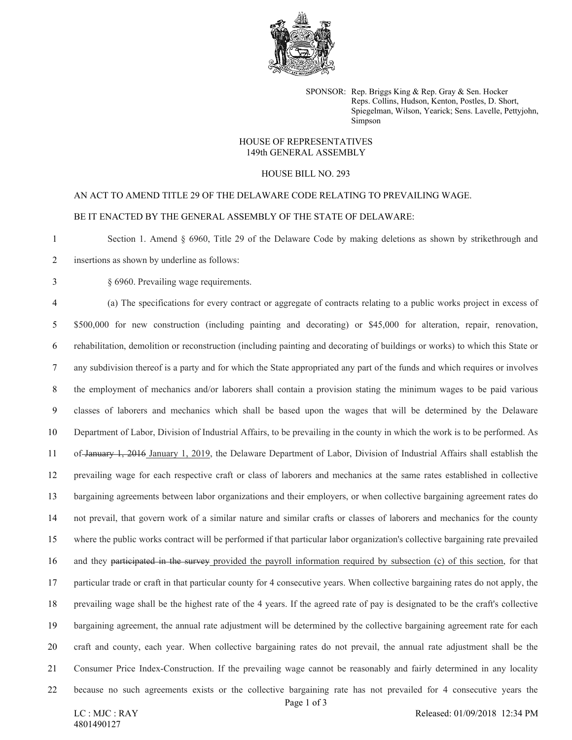

SPONSOR: Rep. Briggs King & Rep. Gray & Sen. Hocker Reps. Collins, Hudson, Kenton, Postles, D. Short, Spiegelman, Wilson, Yearick; Sens. Lavelle, Pettyjohn, Simpson

## HOUSE OF REPRESENTATIVES 149th GENERAL ASSEMBLY

## HOUSE BILL NO. 293

AN ACT TO AMEND TITLE 29 OF THE DELAWARE CODE RELATING TO PREVAILING WAGE. BE IT ENACTED BY THE GENERAL ASSEMBLY OF THE STATE OF DELAWARE:

 Section 1. Amend § 6960, Title 29 of the Delaware Code by making deletions as shown by strikethrough and insertions as shown by underline as follows:

§ 6960. Prevailing wage requirements.

 (a) The specifications for every contract or aggregate of contracts relating to a public works project in excess of 5 \$500,000 for new construction (including painting and decorating) or \$45,000 for alteration, repair, renovation, rehabilitation, demolition or reconstruction (including painting and decorating of buildings or works) to which this State or any subdivision thereof is a party and for which the State appropriated any part of the funds and which requires or involves the employment of mechanics and/or laborers shall contain a provision stating the minimum wages to be paid various classes of laborers and mechanics which shall be based upon the wages that will be determined by the Delaware Department of Labor, Division of Industrial Affairs, to be prevailing in the county in which the work is to be performed. As of January 1, 2016 January 1, 2019, the Delaware Department of Labor, Division of Industrial Affairs shall establish the prevailing wage for each respective craft or class of laborers and mechanics at the same rates established in collective bargaining agreements between labor organizations and their employers, or when collective bargaining agreement rates do not prevail, that govern work of a similar nature and similar crafts or classes of laborers and mechanics for the county where the public works contract will be performed if that particular labor organization's collective bargaining rate prevailed and they participated in the survey provided the payroll information required by subsection (c) of this section, for that particular trade or craft in that particular county for 4 consecutive years. When collective bargaining rates do not apply, the prevailing wage shall be the highest rate of the 4 years. If the agreed rate of pay is designated to be the craft's collective bargaining agreement, the annual rate adjustment will be determined by the collective bargaining agreement rate for each craft and county, each year. When collective bargaining rates do not prevail, the annual rate adjustment shall be the Consumer Price Index-Construction. If the prevailing wage cannot be reasonably and fairly determined in any locality because no such agreements exists or the collective bargaining rate has not prevailed for 4 consecutive years the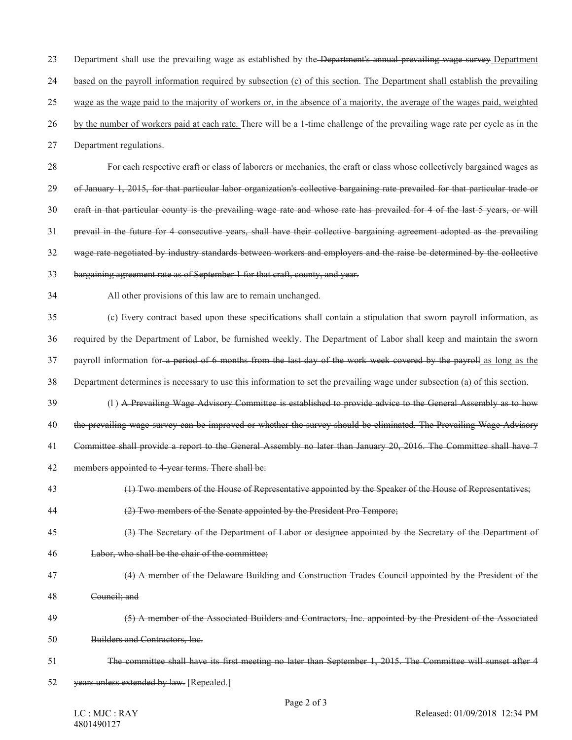23 Department shall use the prevailing wage as established by the Department's annual prevailing wage survey Department

based on the payroll information required by subsection (c) of this section. The Department shall establish the prevailing

wage as the wage paid to the majority of workers or, in the absence of a majority, the average of the wages paid, weighted

by the number of workers paid at each rate. There will be a 1-time challenge of the prevailing wage rate per cycle as in the

Department regulations.

 For each respective craft or class of laborers or mechanics, the craft or class whose collectively bargained wages as of January 1, 2015, for that particular labor organization's collective bargaining rate prevailed for that particular trade or craft in that particular county is the prevailing wage rate and whose rate has prevailed for 4 of the last 5 years, or will prevail in the future for 4 consecutive years, shall have their collective bargaining agreement adopted as the prevailing wage rate negotiated by industry standards between workers and employers and the raise be determined by the collective

bargaining agreement rate as of September 1 for that craft, county, and year.

All other provisions of this law are to remain unchanged.

 (c) Every contract based upon these specifications shall contain a stipulation that sworn payroll information, as required by the Department of Labor, be furnished weekly. The Department of Labor shall keep and maintain the sworn payroll information for a period of 6 months from the last day of the work week covered by the payroll as long as the Department determines is necessary to use this information to set the prevailing wage under subsection (a) of this section.

(l ) A Prevailing Wage Advisory Committee is established to provide advice to the General Assembly as to how

the prevailing wage survey can be improved or whether the survey should be eliminated. The Prevailing Wage Advisory

Committee shall provide a report to the General Assembly no later than January 20, 2016. The Committee shall have 7

- members appointed to 4-year terms. There shall be:
- (1) Two members of the House of Representative appointed by the Speaker of the House of Representatives;
- (2) Two members of the Senate appointed by the President Pro Tempore;
- (3) The Secretary of the Department of Labor or designee appointed by the Secretary of the Department of
- Labor, who shall be the chair of the committee;
- (4) A member of the Delaware Building and Construction Trades Council appointed by the President of the
- Council; and
- (5) A member of the Associated Builders and Contractors, Inc. appointed by the President of the Associated Builders and Contractors, Inc.
- The committee shall have its first meeting no later than September 1, 2015. The Committee will sunset after 4
- years unless extended by law. [Repealed.]